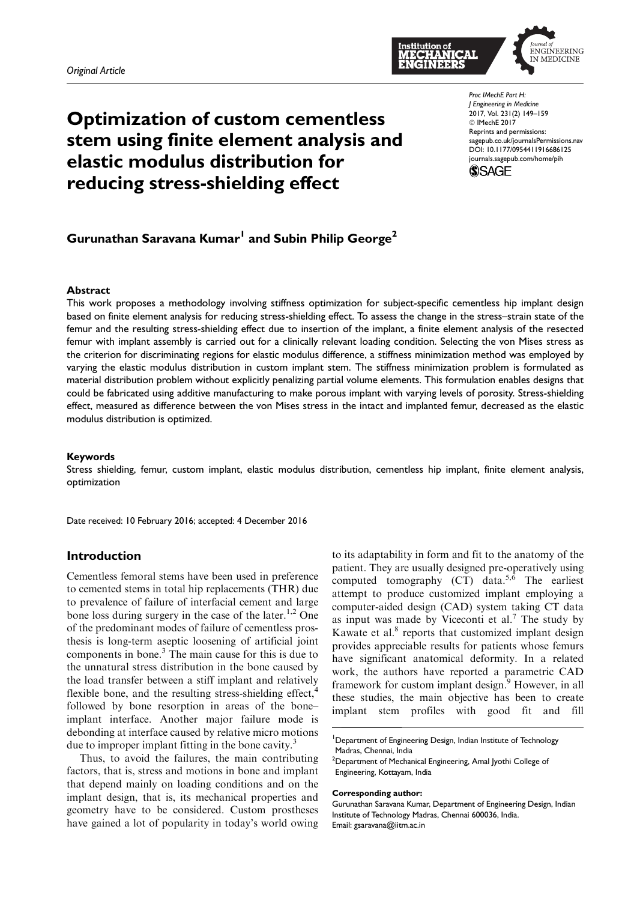

# Optimization of custom cementless stem using finite element analysis and elastic modulus distribution for reducing stress-shielding effect

Proc IMechE Part H: J Engineering in Medicine 2017, Vol. 231(2) 149–159 C IMechE 2017 Reprints and permissions: sagepub.co.uk/journalsPermissions.nav DOI: 10.1177/0954411916686125 journals.sagepub.com/home/pih



# Gurunathan Saravana Kumar $^{\mathsf{l}}$  and Subin Philip George $^{\mathsf{2}}$

#### Abstract

This work proposes a methodology involving stiffness optimization for subject-specific cementless hip implant design based on finite element analysis for reducing stress-shielding effect. To assess the change in the stress–strain state of the femur and the resulting stress-shielding effect due to insertion of the implant, a finite element analysis of the resected femur with implant assembly is carried out for a clinically relevant loading condition. Selecting the von Mises stress as the criterion for discriminating regions for elastic modulus difference, a stiffness minimization method was employed by varying the elastic modulus distribution in custom implant stem. The stiffness minimization problem is formulated as material distribution problem without explicitly penalizing partial volume elements. This formulation enables designs that could be fabricated using additive manufacturing to make porous implant with varying levels of porosity. Stress-shielding effect, measured as difference between the von Mises stress in the intact and implanted femur, decreased as the elastic modulus distribution is optimized.

#### Keywords

Stress shielding, femur, custom implant, elastic modulus distribution, cementless hip implant, finite element analysis, optimization

Date received: 10 February 2016; accepted: 4 December 2016

# Introduction

Cementless femoral stems have been used in preference to cemented stems in total hip replacements (THR) due to prevalence of failure of interfacial cement and large bone loss during surgery in the case of the later.<sup>1,2</sup> One of the predominant modes of failure of cementless prosthesis is long-term aseptic loosening of artificial joint components in bone.<sup>3</sup> The main cause for this is due to the unnatural stress distribution in the bone caused by the load transfer between a stiff implant and relatively flexible bone, and the resulting stress-shielding effect,<sup>4</sup> followed by bone resorption in areas of the bone– implant interface. Another major failure mode is debonding at interface caused by relative micro motions due to improper implant fitting in the bone cavity.<sup>3</sup>

Thus, to avoid the failures, the main contributing factors, that is, stress and motions in bone and implant that depend mainly on loading conditions and on the implant design, that is, its mechanical properties and geometry have to be considered. Custom prostheses have gained a lot of popularity in today's world owing

to its adaptability in form and fit to the anatomy of the patient. They are usually designed pre-operatively using computed tomography (CT) data.<sup>5, $\overline{6}$ </sup> The earliest attempt to produce customized implant employing a computer-aided design (CAD) system taking CT data as input was made by Viceconti et al.<sup>7</sup> The study by Kawate et al.<sup>8</sup> reports that customized implant design provides appreciable results for patients whose femurs have significant anatomical deformity. In a related work, the authors have reported a parametric CAD framework for custom implant design.<sup>9</sup> However, in all these studies, the main objective has been to create implant stem profiles with good fit and fill

<sup>1</sup>Department of Engineering Design, Indian Institute of Technology Madras, Chennai, India

#### Corresponding author:

<sup>&</sup>lt;sup>2</sup>Department of Mechanical Engineering, Amal Jyothi College of Engineering, Kottayam, India

Gurunathan Saravana Kumar, Department of Engineering Design, Indian Institute of Technology Madras, Chennai 600036, India. Email: gsaravana@iitm.ac.in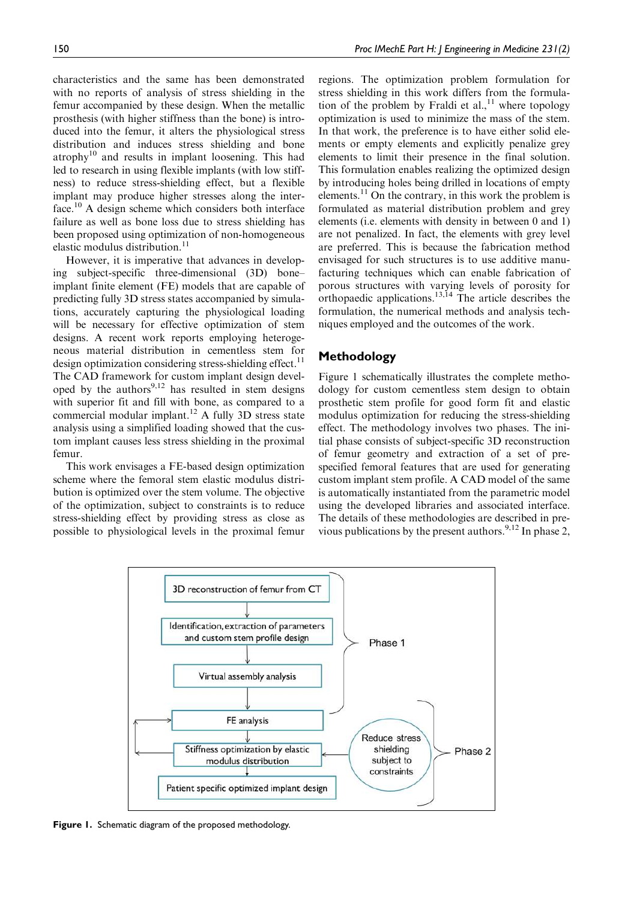characteristics and the same has been demonstrated with no reports of analysis of stress shielding in the femur accompanied by these design. When the metallic prosthesis (with higher stiffness than the bone) is introduced into the femur, it alters the physiological stress distribution and induces stress shielding and bone atrophy<sup>10</sup> and results in implant loosening. This had led to research in using flexible implants (with low stiffness) to reduce stress-shielding effect, but a flexible implant may produce higher stresses along the interface.<sup>10</sup> A design scheme which considers both interface failure as well as bone loss due to stress shielding has been proposed using optimization of non-homogeneous elastic modulus distribution.<sup>11</sup>

However, it is imperative that advances in developing subject-specific three-dimensional (3D) bone– implant finite element (FE) models that are capable of predicting fully 3D stress states accompanied by simulations, accurately capturing the physiological loading will be necessary for effective optimization of stem designs. A recent work reports employing heterogeneous material distribution in cementless stem for design optimization considering stress-shielding effect.<sup>11</sup> The CAD framework for custom implant design developed by the authors $9,12$  has resulted in stem designs with superior fit and fill with bone, as compared to a commercial modular implant.<sup>12</sup> A fully 3D stress state analysis using a simplified loading showed that the custom implant causes less stress shielding in the proximal femur.

This work envisages a FE-based design optimization scheme where the femoral stem elastic modulus distribution is optimized over the stem volume. The objective of the optimization, subject to constraints is to reduce stress-shielding effect by providing stress as close as possible to physiological levels in the proximal femur

regions. The optimization problem formulation for stress shielding in this work differs from the formulation of the problem by Fraldi et al., <sup>11</sup> where topology optimization is used to minimize the mass of the stem. In that work, the preference is to have either solid elements or empty elements and explicitly penalize grey elements to limit their presence in the final solution. This formulation enables realizing the optimized design by introducing holes being drilled in locations of empty elements.<sup>11</sup> On the contrary, in this work the problem is formulated as material distribution problem and grey elements (i.e. elements with density in between 0 and 1) are not penalized. In fact, the elements with grey level are preferred. This is because the fabrication method envisaged for such structures is to use additive manufacturing techniques which can enable fabrication of porous structures with varying levels of porosity for orthopaedic applications.<sup>13,14</sup> The article describes the formulation, the numerical methods and analysis techniques employed and the outcomes of the work.

### Methodology

Figure 1 schematically illustrates the complete methodology for custom cementless stem design to obtain prosthetic stem profile for good form fit and elastic modulus optimization for reducing the stress-shielding effect. The methodology involves two phases. The initial phase consists of subject-specific 3D reconstruction of femur geometry and extraction of a set of prespecified femoral features that are used for generating custom implant stem profile. A CAD model of the same is automatically instantiated from the parametric model using the developed libraries and associated interface. The details of these methodologies are described in previous publications by the present authors.<sup>9,12</sup> In phase 2,



Figure 1. Schematic diagram of the proposed methodology.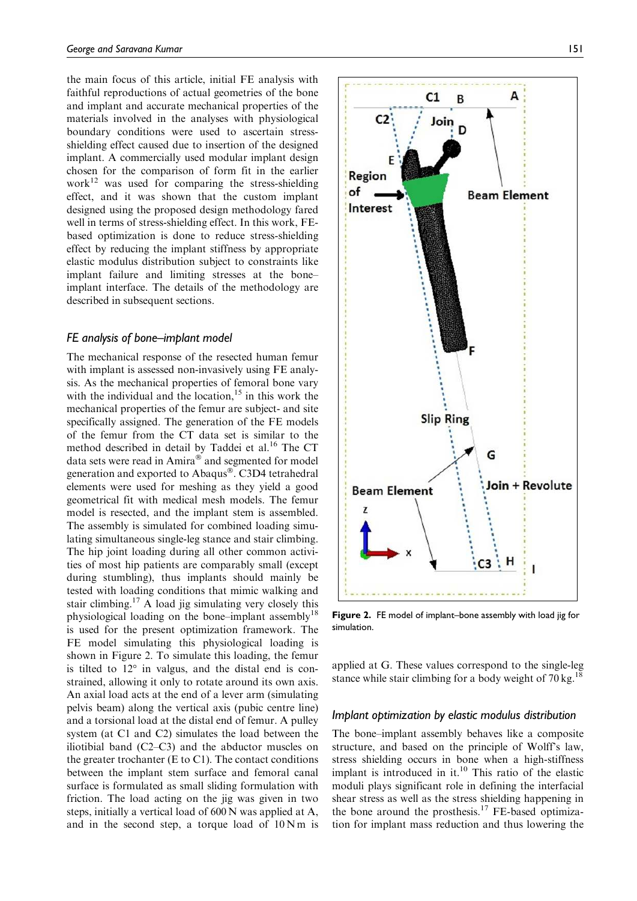the main focus of this article, initial FE analysis with faithful reproductions of actual geometries of the bone and implant and accurate mechanical properties of the materials involved in the analyses with physiological boundary conditions were used to ascertain stressshielding effect caused due to insertion of the designed implant. A commercially used modular implant design chosen for the comparison of form fit in the earlier work $^{12}$  was used for comparing the stress-shielding effect, and it was shown that the custom implant designed using the proposed design methodology fared well in terms of stress-shielding effect. In this work, FEbased optimization is done to reduce stress-shielding effect by reducing the implant stiffness by appropriate elastic modulus distribution subject to constraints like implant failure and limiting stresses at the bone– implant interface. The details of the methodology are described in subsequent sections.

#### FE analysis of bone–implant model

The mechanical response of the resected human femur with implant is assessed non-invasively using FE analysis. As the mechanical properties of femoral bone vary with the individual and the location, $15$  in this work the mechanical properties of the femur are subject- and site specifically assigned. The generation of the FE models of the femur from the CT data set is similar to the method described in detail by Taddei et al.<sup>16</sup> The CT data sets were read in Amira<sup>®</sup> and segmented for model generation and exported to Abaqus®. C3D4 tetrahedral elements were used for meshing as they yield a good geometrical fit with medical mesh models. The femur model is resected, and the implant stem is assembled. The assembly is simulated for combined loading simulating simultaneous single-leg stance and stair climbing. The hip joint loading during all other common activities of most hip patients are comparably small (except during stumbling), thus implants should mainly be tested with loading conditions that mimic walking and stair climbing.<sup>17</sup> A load jig simulating very closely this physiological loading on the bone–implant assembly<sup>18</sup> is used for the present optimization framework. The FE model simulating this physiological loading is shown in Figure 2. To simulate this loading, the femur is tilted to  $12^{\circ}$  in valgus, and the distal end is constrained, allowing it only to rotate around its own axis. An axial load acts at the end of a lever arm (simulating pelvis beam) along the vertical axis (pubic centre line) and a torsional load at the distal end of femur. A pulley system (at C1 and C2) simulates the load between the iliotibial band (C2–C3) and the abductor muscles on the greater trochanter (E to C1). The contact conditions between the implant stem surface and femoral canal surface is formulated as small sliding formulation with friction. The load acting on the jig was given in two steps, initially a vertical load of 600 N was applied at A, and in the second step, a torque load of  $10 \text{ N m}$  is



Figure 2. FE model of implant–bone assembly with load jig for simulation.

applied at G. These values correspond to the single-leg stance while stair climbing for a body weight of  $70 \text{ kg}$ <sup>18</sup>

#### Implant optimization by elastic modulus distribution

The bone–implant assembly behaves like a composite structure, and based on the principle of Wolff's law, stress shielding occurs in bone when a high-stiffness implant is introduced in it. $10$  This ratio of the elastic moduli plays significant role in defining the interfacial shear stress as well as the stress shielding happening in the bone around the prosthesis.<sup>17</sup> FE-based optimization for implant mass reduction and thus lowering the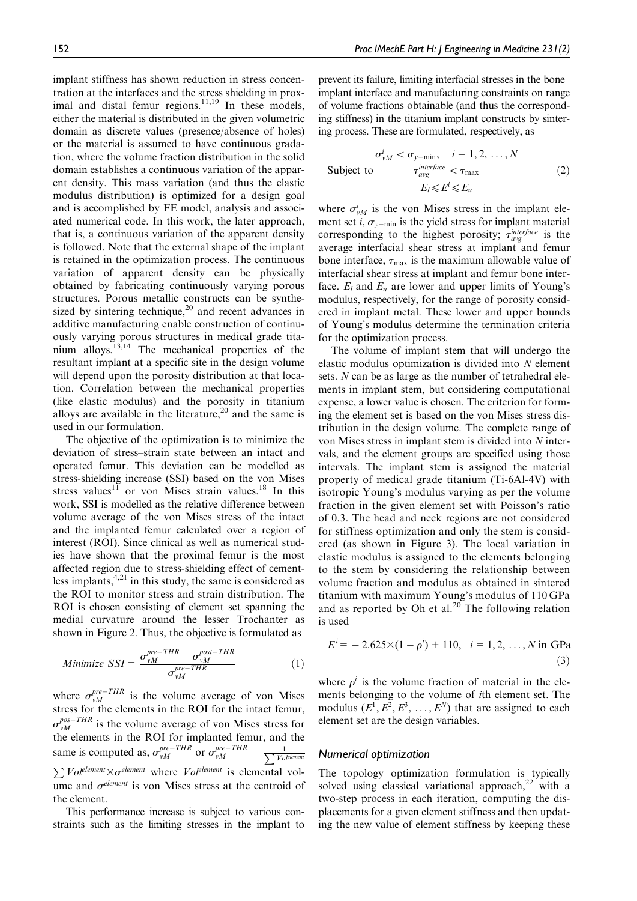implant stiffness has shown reduction in stress concentration at the interfaces and the stress shielding in proximal and distal femur regions.<sup>11,19</sup> In these models, either the material is distributed in the given volumetric domain as discrete values (presence/absence of holes) or the material is assumed to have continuous gradation, where the volume fraction distribution in the solid domain establishes a continuous variation of the apparent density. This mass variation (and thus the elastic modulus distribution) is optimized for a design goal and is accomplished by FE model, analysis and associated numerical code. In this work, the later approach, that is, a continuous variation of the apparent density is followed. Note that the external shape of the implant is retained in the optimization process. The continuous variation of apparent density can be physically obtained by fabricating continuously varying porous structures. Porous metallic constructs can be synthesized by sintering technique,<sup>20</sup> and recent advances in additive manufacturing enable construction of continuously varying porous structures in medical grade titanium alloys.<sup>13,14</sup> The mechanical properties of the resultant implant at a specific site in the design volume will depend upon the porosity distribution at that location. Correlation between the mechanical properties (like elastic modulus) and the porosity in titanium alloys are available in the literature,<sup>20</sup> and the same is used in our formulation.

The objective of the optimization is to minimize the deviation of stress–strain state between an intact and operated femur. This deviation can be modelled as stress-shielding increase (SSI) based on the von Mises stress values<sup>11</sup> or von Mises strain values.<sup>18</sup> In this work, SSI is modelled as the relative difference between volume average of the von Mises stress of the intact and the implanted femur calculated over a region of interest (ROI). Since clinical as well as numerical studies have shown that the proximal femur is the most affected region due to stress-shielding effect of cementless implants, $4,21$  in this study, the same is considered as the ROI to monitor stress and strain distribution. The ROI is chosen consisting of element set spanning the medial curvature around the lesser Trochanter as shown in Figure 2. Thus, the objective is formulated as

Minimize 
$$
SSI = \frac{\sigma_{vM}^{pre-THR} - \sigma_{vM}^{post-THR}}{\sigma_{vM}^{pre-THR}}
$$
 (1)

where  $\sigma_{vM}^{pre-THR}$  is the volume average of von Mises stress for the elements in the ROI for the intact femur,  $\sigma_{vM}^{pos-THR}$  is the volume average of von Mises stress for the elements in the ROI for implanted femur, and the same is computed as,  $\sigma_{vM}^{pre-THR}$  or  $\sigma_{vM}^{pre-THR} = \frac{1}{\sum V_o}$ Volelement  $\sum$  Vol<sup>element</sup>  $\times \sigma^{element}$  where Vol<sup>element</sup> is elemental volume and  $\sigma^{element}$  is von Mises stress at the centroid of the element.

This performance increase is subject to various constraints such as the limiting stresses in the implant to prevent its failure, limiting interfacial stresses in the bone– implant interface and manufacturing constraints on range of volume fractions obtainable (and thus the corresponding stiffness) in the titanium implant constructs by sintering process. These are formulated, respectively, as

$$
\sigma_{vM}^{i} < \sigma_{y-\text{min}}, \quad i = 1, 2, \dots, N
$$
\nSubject to

\n
$$
\tau_{avg}^{interface} < \tau_{\text{max}}
$$
\n
$$
E_l \leq E^i \leq E_u
$$
\n
$$
(2)
$$

where  $\sigma_{vM}^{i}$  is the von Mises stress in the implant element set *i*,  $\sigma_{y-\text{min}}$  is the yield stress for implant material corresponding to the highest porosity;  $\tau_{avg}^{interface}$  is the average interfacial shear stress at implant and femur bone interface,  $\tau_{\text{max}}$  is the maximum allowable value of interfacial shear stress at implant and femur bone interface.  $E_l$  and  $E_u$  are lower and upper limits of Young's modulus, respectively, for the range of porosity considered in implant metal. These lower and upper bounds of Young's modulus determine the termination criteria for the optimization process.

The volume of implant stem that will undergo the elastic modulus optimization is divided into  $N$  element sets. N can be as large as the number of tetrahedral elements in implant stem, but considering computational expense, a lower value is chosen. The criterion for forming the element set is based on the von Mises stress distribution in the design volume. The complete range of von Mises stress in implant stem is divided into N intervals, and the element groups are specified using those intervals. The implant stem is assigned the material property of medical grade titanium (Ti-6Al-4V) with isotropic Young's modulus varying as per the volume fraction in the given element set with Poisson's ratio of 0.3. The head and neck regions are not considered for stiffness optimization and only the stem is considered (as shown in Figure 3). The local variation in elastic modulus is assigned to the elements belonging to the stem by considering the relationship between volume fraction and modulus as obtained in sintered titanium with maximum Young's modulus of 110 GPa and as reported by Oh et al.<sup>20</sup> The following relation is used

$$
Ei = -2.625 \times (1 - \rhoi) + 110, \quad i = 1, 2, ..., N \text{ in GPa}
$$
\n(3)

where  $\rho^i$  is the volume fraction of material in the elements belonging to the volume of ith element set. The modulus  $(E^1, E^2, E^3, \ldots, E^N)$  that are assigned to each element set are the design variables.

#### Numerical optimization

The topology optimization formulation is typically solved using classical variational approach,<sup>22</sup> with a two-step process in each iteration, computing the displacements for a given element stiffness and then updating the new value of element stiffness by keeping these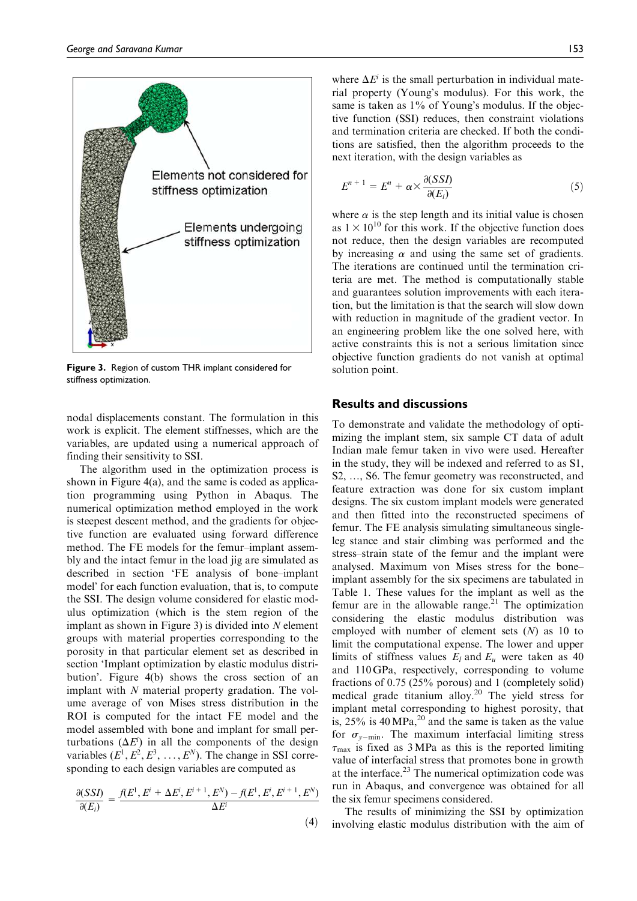

Figure 3. Region of custom THR implant considered for stiffness optimization.

nodal displacements constant. The formulation in this work is explicit. The element stiffnesses, which are the variables, are updated using a numerical approach of finding their sensitivity to SSI.

The algorithm used in the optimization process is shown in Figure 4(a), and the same is coded as application programming using Python in Abaqus. The numerical optimization method employed in the work is steepest descent method, and the gradients for objective function are evaluated using forward difference method. The FE models for the femur–implant assembly and the intact femur in the load jig are simulated as described in section 'FE analysis of bone–implant model' for each function evaluation, that is, to compute the SSI. The design volume considered for elastic modulus optimization (which is the stem region of the implant as shown in Figure 3) is divided into  $N$  element groups with material properties corresponding to the porosity in that particular element set as described in section 'Implant optimization by elastic modulus distribution'. Figure 4(b) shows the cross section of an implant with N material property gradation. The volume average of von Mises stress distribution in the ROI is computed for the intact FE model and the model assembled with bone and implant for small perturbations  $(\Delta E^i)$  in all the components of the design variables  $(E^1, E^2, E^3, \ldots, E^N)$ . The change in SSI corresponding to each design variables are computed as

$$
\frac{\partial(SSI)}{\partial(E_i)} = \frac{f(E^1, E^i + \Delta E^i, E^{i+1}, E^N) - f(E^1, E^i, E^{i+1}, E^N)}{\Delta E^i}
$$

 $(4)$ 

where  $\Delta E^i$  is the small perturbation in individual material property (Young's modulus). For this work, the same is taken as 1% of Young's modulus. If the objective function (SSI) reduces, then constraint violations and termination criteria are checked. If both the conditions are satisfied, then the algorithm proceeds to the next iteration, with the design variables as

$$
E^{n+1} = E^n + \alpha \times \frac{\partial(SSI)}{\partial(E_i)}
$$
 (5)

where  $\alpha$  is the step length and its initial value is chosen as  $1 \times 10^{10}$  for this work. If the objective function does not reduce, then the design variables are recomputed by increasing  $\alpha$  and using the same set of gradients. The iterations are continued until the termination criteria are met. The method is computationally stable and guarantees solution improvements with each iteration, but the limitation is that the search will slow down with reduction in magnitude of the gradient vector. In an engineering problem like the one solved here, with active constraints this is not a serious limitation since objective function gradients do not vanish at optimal solution point.

#### Results and discussions

To demonstrate and validate the methodology of optimizing the implant stem, six sample CT data of adult Indian male femur taken in vivo were used. Hereafter in the study, they will be indexed and referred to as S1, S2, ..., S6. The femur geometry was reconstructed, and feature extraction was done for six custom implant designs. The six custom implant models were generated and then fitted into the reconstructed specimens of femur. The FE analysis simulating simultaneous singleleg stance and stair climbing was performed and the stress–strain state of the femur and the implant were analysed. Maximum von Mises stress for the bone– implant assembly for the six specimens are tabulated in Table 1. These values for the implant as well as the femur are in the allowable range. $21$  The optimization considering the elastic modulus distribution was employed with number of element sets  $(N)$  as 10 to limit the computational expense. The lower and upper limits of stiffness values  $E_l$  and  $E_u$  were taken as 40 and 110 GPa, respectively, corresponding to volume fractions of 0.75 (25% porous) and 1 (completely solid) medical grade titanium alloy.<sup>20</sup> The yield stress for implant metal corresponding to highest porosity, that is,  $25\%$  is 40 MPa,<sup>20</sup> and the same is taken as the value for  $\sigma_{y-\text{min}}$ . The maximum interfacial limiting stress  $\tau_{\text{max}}$  is fixed as 3 MPa as this is the reported limiting value of interfacial stress that promotes bone in growth at the interface. $2<sup>3</sup>$  The numerical optimization code was run in Abaqus, and convergence was obtained for all the six femur specimens considered.

The results of minimizing the SSI by optimization involving elastic modulus distribution with the aim of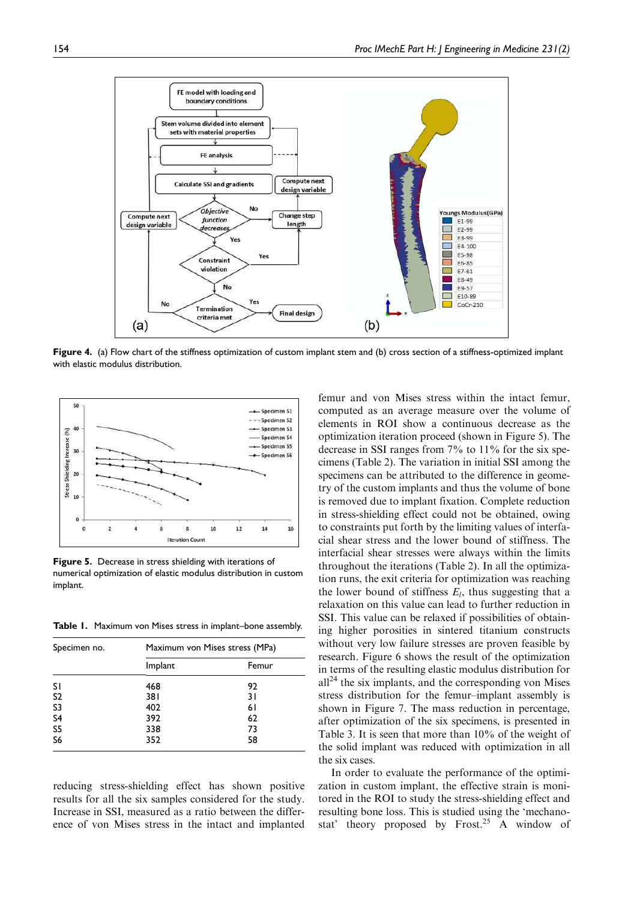

Figure 4. (a) Flow chart of the stiffness optimization of custom implant stem and (b) cross section of a stiffness-optimized implant with elastic modulus distribution.



Figure 5. Decrease in stress shielding with iterations of numerical optimization of elastic modulus distribution in custom implant.

Table 1. Maximum von Mises stress in implant–bone assembly.

| Specimen no.   | Maximum von Mises stress (MPa) |       |  |
|----------------|--------------------------------|-------|--|
|                | Implant                        | Femur |  |
| <b>SI</b>      | 468                            | 92    |  |
| S <sub>2</sub> | 381                            | 31    |  |
| S3             | 402                            | 61    |  |
| S4<br>S5       | 392                            | 62    |  |
|                | 338                            | 73    |  |
| S6             | 352                            | 58    |  |

reducing stress-shielding effect has shown positive results for all the six samples considered for the study. Increase in SSI, measured as a ratio between the difference of von Mises stress in the intact and implanted

femur and von Mises stress within the intact femur, computed as an average measure over the volume of elements in ROI show a continuous decrease as the optimization iteration proceed (shown in Figure 5). The decrease in SSI ranges from 7% to 11% for the six specimens (Table 2). The variation in initial SSI among the specimens can be attributed to the difference in geometry of the custom implants and thus the volume of bone is removed due to implant fixation. Complete reduction in stress-shielding effect could not be obtained, owing to constraints put forth by the limiting values of interfacial shear stress and the lower bound of stiffness. The interfacial shear stresses were always within the limits throughout the iterations (Table 2). In all the optimization runs, the exit criteria for optimization was reaching the lower bound of stiffness  $E_l$ , thus suggesting that a relaxation on this value can lead to further reduction in SSI. This value can be relaxed if possibilities of obtaining higher porosities in sintered titanium constructs without very low failure stresses are proven feasible by research. Figure 6 shows the result of the optimization in terms of the resulting elastic modulus distribution for  $all<sup>24</sup>$  the six implants, and the corresponding von Mises stress distribution for the femur–implant assembly is shown in Figure 7. The mass reduction in percentage, after optimization of the six specimens, is presented in Table 3. It is seen that more than 10% of the weight of the solid implant was reduced with optimization in all the six cases.

In order to evaluate the performance of the optimization in custom implant, the effective strain is monitored in the ROI to study the stress-shielding effect and resulting bone loss. This is studied using the 'mechanostat' theory proposed by  $Frost.<sup>25</sup>$  A window of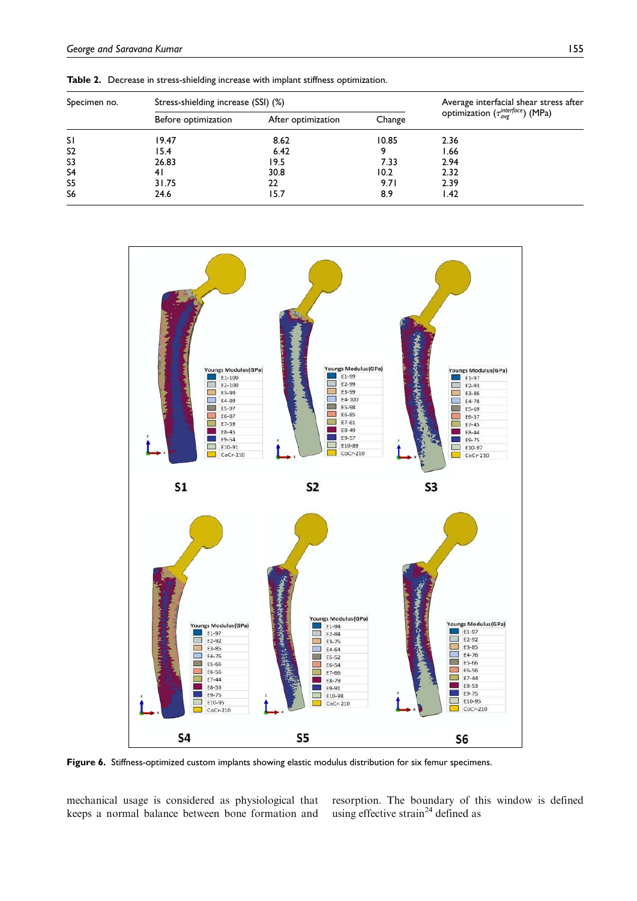| Specimen no.   | Stress-shielding increase (SSI) (%) |                    |        | Average interfacial shear stress after                        |
|----------------|-------------------------------------|--------------------|--------|---------------------------------------------------------------|
|                | Before optimization                 | After optimization | Change | optimization ( $\tau_{\text{avg}}^{\text{interface}}$ ) (MPa) |
| <b>SI</b>      | 19.47                               | 8.62               | 10.85  | 2.36                                                          |
| S <sub>2</sub> | 15.4                                | 6.42               |        | .66                                                           |
| S <sub>3</sub> | 26.83                               | 19.5               | 7.33   | 2.94                                                          |
| S <sub>4</sub> | 4 I                                 | 30.8               | 10.2   | 2.32                                                          |
| S <sub>5</sub> | 31.75                               | 22                 | 9.71   | 2.39                                                          |
| S <sub>6</sub> | 24.6                                | 15.7               | 8.9    | .42                                                           |

Table 2. Decrease in stress-shielding increase with implant stiffness optimization.



Figure 6. Stiffness-optimized custom implants showing elastic modulus distribution for six femur specimens.

mechanical usage is considered as physiological that keeps a normal balance between bone formation and

resorption. The boundary of this window is defined using effective strain<sup>24</sup> defined as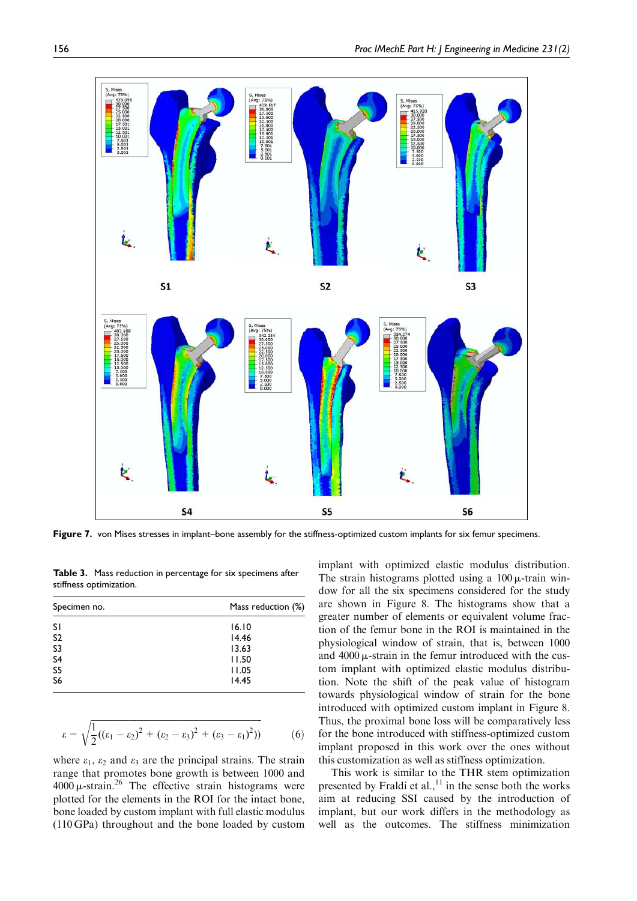

Figure 7. von Mises stresses in implant–bone assembly for the stiffness-optimized custom implants for six femur specimens.

Table 3. Mass reduction in percentage for six specimens after stiffness optimization.

| Specimen no. | Mass reduction (%) |  |
|--------------|--------------------|--|
|              | 16.10              |  |
|              | 14.46              |  |
|              | 13.63              |  |
|              | 11.50              |  |
|              | 11.05              |  |
|              | 14.45              |  |
|              |                    |  |

$$
\varepsilon = \sqrt{\frac{1}{2}((\varepsilon_1 - \varepsilon_2)^2 + (\varepsilon_2 - \varepsilon_3)^2 + (\varepsilon_3 - \varepsilon_1)^2))}
$$
(6)

where  $\varepsilon_1$ ,  $\varepsilon_2$  and  $\varepsilon_3$  are the principal strains. The strain range that promotes bone growth is between 1000 and  $4000 \mu\text{-strain}^{26}$  The effective strain histograms were plotted for the elements in the ROI for the intact bone, bone loaded by custom implant with full elastic modulus (110 GPa) throughout and the bone loaded by custom implant with optimized elastic modulus distribution. The strain histograms plotted using a  $100 \mu$ -train window for all the six specimens considered for the study are shown in Figure 8. The histograms show that a greater number of elements or equivalent volume fraction of the femur bone in the ROI is maintained in the physiological window of strain, that is, between 1000 and  $4000 \mu$ -strain in the femur introduced with the custom implant with optimized elastic modulus distribution. Note the shift of the peak value of histogram towards physiological window of strain for the bone introduced with optimized custom implant in Figure 8. Thus, the proximal bone loss will be comparatively less for the bone introduced with stiffness-optimized custom implant proposed in this work over the ones without this customization as well as stiffness optimization.

This work is similar to the THR stem optimization presented by Fraldi et al., $^{11}$  in the sense both the works aim at reducing SSI caused by the introduction of implant, but our work differs in the methodology as well as the outcomes. The stiffness minimization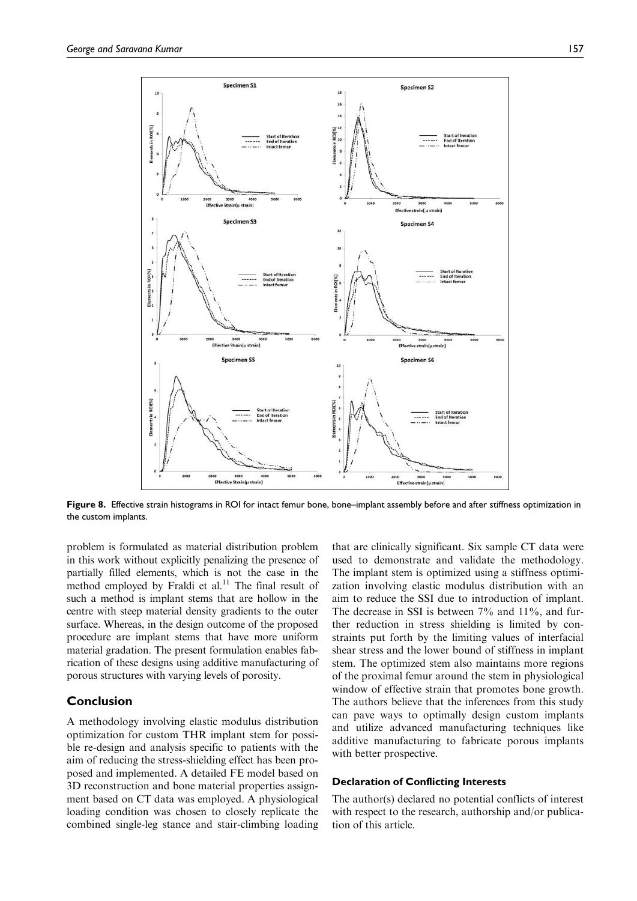

Figure 8. Effective strain histograms in ROI for intact femur bone, bone–implant assembly before and after stiffness optimization in the custom implants.

problem is formulated as material distribution problem in this work without explicitly penalizing the presence of partially filled elements, which is not the case in the method employed by Fraldi et al. $11$  The final result of such a method is implant stems that are hollow in the centre with steep material density gradients to the outer surface. Whereas, in the design outcome of the proposed procedure are implant stems that have more uniform material gradation. The present formulation enables fabrication of these designs using additive manufacturing of porous structures with varying levels of porosity.

# Conclusion

A methodology involving elastic modulus distribution optimization for custom THR implant stem for possible re-design and analysis specific to patients with the aim of reducing the stress-shielding effect has been proposed and implemented. A detailed FE model based on 3D reconstruction and bone material properties assignment based on CT data was employed. A physiological loading condition was chosen to closely replicate the combined single-leg stance and stair-climbing loading that are clinically significant. Six sample CT data were used to demonstrate and validate the methodology. The implant stem is optimized using a stiffness optimization involving elastic modulus distribution with an aim to reduce the SSI due to introduction of implant. The decrease in SSI is between 7% and 11%, and further reduction in stress shielding is limited by constraints put forth by the limiting values of interfacial shear stress and the lower bound of stiffness in implant stem. The optimized stem also maintains more regions of the proximal femur around the stem in physiological window of effective strain that promotes bone growth. The authors believe that the inferences from this study can pave ways to optimally design custom implants and utilize advanced manufacturing techniques like additive manufacturing to fabricate porous implants with better prospective.

#### Declaration of Conflicting Interests

The author(s) declared no potential conflicts of interest with respect to the research, authorship and/or publication of this article.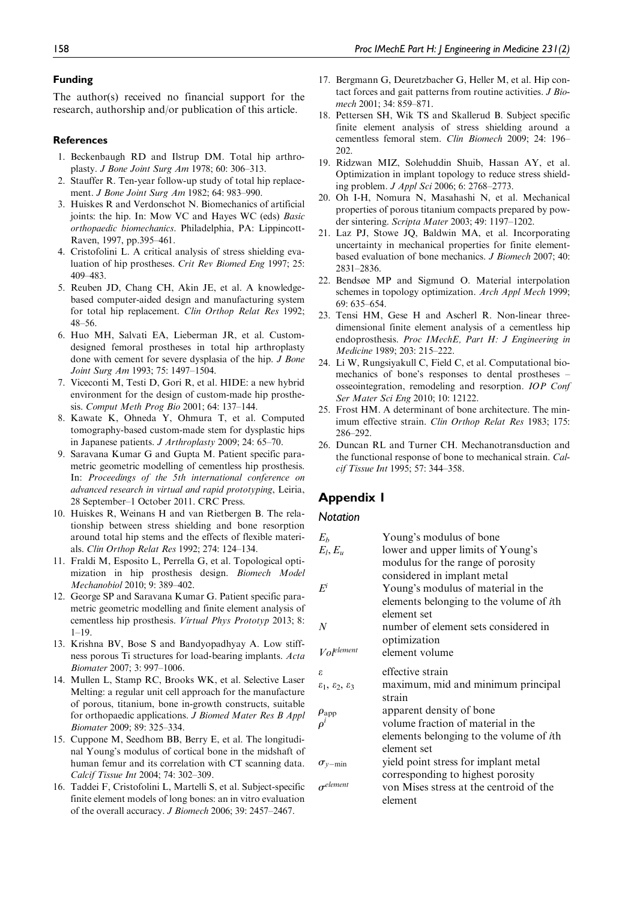#### Funding

The author(s) received no financial support for the research, authorship and/or publication of this article.

#### **References**

- 1. Beckenbaugh RD and Ilstrup DM. Total hip arthroplasty. J Bone Joint Surg Am 1978; 60: 306–313.
- 2. Stauffer R. Ten-year follow-up study of total hip replacement. J Bone Joint Surg Am 1982; 64: 983–990.
- 3. Huiskes R and Verdonschot N. Biomechanics of artificial joints: the hip. In: Mow VC and Hayes WC (eds) Basic orthopaedic biomechanics. Philadelphia, PA: Lippincott-Raven, 1997, pp.395–461.
- 4. Cristofolini L. A critical analysis of stress shielding evaluation of hip prostheses. Crit Rev Biomed Eng 1997; 25: 409–483.
- 5. Reuben JD, Chang CH, Akin JE, et al. A knowledgebased computer-aided design and manufacturing system for total hip replacement. Clin Orthop Relat Res 1992; 48–56.
- 6. Huo MH, Salvati EA, Lieberman JR, et al. Customdesigned femoral prostheses in total hip arthroplasty done with cement for severe dysplasia of the hip. J Bone Joint Surg Am 1993; 75: 1497–1504.
- 7. Viceconti M, Testi D, Gori R, et al. HIDE: a new hybrid environment for the design of custom-made hip prosthesis. Comput Meth Prog Bio 2001; 64: 137–144.
- 8. Kawate K, Ohneda Y, Ohmura T, et al. Computed tomography-based custom-made stem for dysplastic hips in Japanese patients. J Arthroplasty 2009; 24: 65–70.
- 9. Saravana Kumar G and Gupta M. Patient specific parametric geometric modelling of cementless hip prosthesis. In: Proceedings of the 5th international conference on advanced research in virtual and rapid prototyping, Leiria, 28 September–1 October 2011. CRC Press.
- 10. Huiskes R, Weinans H and van Rietbergen B. The relationship between stress shielding and bone resorption around total hip stems and the effects of flexible materials. Clin Orthop Relat Res 1992; 274: 124–134.
- 11. Fraldi M, Esposito L, Perrella G, et al. Topological optimization in hip prosthesis design. Biomech Model Mechanobiol 2010; 9: 389–402.
- 12. George SP and Saravana Kumar G. Patient specific parametric geometric modelling and finite element analysis of cementless hip prosthesis. Virtual Phys Prototyp 2013; 8:  $1 - 19$ .
- 13. Krishna BV, Bose S and Bandyopadhyay A. Low stiffness porous Ti structures for load-bearing implants. Acta Biomater 2007; 3: 997–1006.
- 14. Mullen L, Stamp RC, Brooks WK, et al. Selective Laser Melting: a regular unit cell approach for the manufacture of porous, titanium, bone in-growth constructs, suitable for orthopaedic applications. J Biomed Mater Res B Appl Biomater 2009; 89: 325–334.
- 15. Cuppone M, Seedhom BB, Berry E, et al. The longitudinal Young's modulus of cortical bone in the midshaft of human femur and its correlation with CT scanning data. Calcif Tissue Int 2004; 74: 302–309.
- 16. Taddei F, Cristofolini L, Martelli S, et al. Subject-specific finite element models of long bones: an in vitro evaluation of the overall accuracy. J Biomech 2006; 39: 2457–2467.
- 17. Bergmann G, Deuretzbacher G, Heller M, et al. Hip contact forces and gait patterns from routine activities. J Biomech 2001; 34: 859–871.
- 18. Pettersen SH, Wik TS and Skallerud B. Subject specific finite element analysis of stress shielding around a cementless femoral stem. Clin Biomech 2009; 24: 196– 202.
- 19. Ridzwan MIZ, Solehuddin Shuib, Hassan AY, et al. Optimization in implant topology to reduce stress shielding problem. J Appl Sci 2006; 6: 2768–2773.
- 20. Oh I-H, Nomura N, Masahashi N, et al. Mechanical properties of porous titanium compacts prepared by powder sintering. Scripta Mater 2003; 49: 1197–1202.
- 21. Laz PJ, Stowe JQ, Baldwin MA, et al. Incorporating uncertainty in mechanical properties for finite elementbased evaluation of bone mechanics. J Biomech 2007; 40: 2831–2836.
- 22. Bendsøe MP and Sigmund O. Material interpolation schemes in topology optimization. Arch Appl Mech 1999; 69: 635–654.
- 23. Tensi HM, Gese H and Ascherl R. Non-linear threedimensional finite element analysis of a cementless hip endoprosthesis. Proc IMechE, Part H: J Engineering in Medicine 1989; 203: 215–222.
- 24. Li W, Rungsiyakull C, Field C, et al. Computational biomechanics of bone's responses to dental prostheses – osseointegration, remodeling and resorption. IOP Conf Ser Mater Sci Eng 2010; 10: 12122.
- 25. Frost HM. A determinant of bone architecture. The minimum effective strain. Clin Orthop Relat Res 1983; 175: 286–292.
- 26. Duncan RL and Turner CH. Mechanotransduction and the functional response of bone to mechanical strain. Calcif Tissue Int 1995; 57: 344–358.

# Appendix 1

#### **Notation**

| $E_b$                                      | Young's modulus of bone                         |
|--------------------------------------------|-------------------------------------------------|
| $E_l, E_u$                                 | lower and upper limits of Young's               |
|                                            | modulus for the range of porosity               |
|                                            | considered in implant metal                     |
| $F^i$                                      | Young's modulus of material in the              |
|                                            | elements belonging to the volume of ith         |
|                                            | element set                                     |
| N                                          | number of element sets considered in            |
|                                            | optimization                                    |
| Vol <sup>element</sup>                     | element volume                                  |
| £.                                         | effective strain                                |
| $\epsilon_1$ , $\epsilon_2$ , $\epsilon_3$ | maximum, mid and minimum principal              |
|                                            | strain                                          |
| $\rho_\mathrm{app}$                        | apparent density of bone                        |
|                                            | volume fraction of material in the              |
|                                            | elements belonging to the volume of <i>i</i> th |
|                                            | element set                                     |
| $\sigma_{v-min}$                           | yield point stress for implant metal            |
|                                            | corresponding to highest porosity               |
| $\sigma$ <sup>element</sup>                | von Mises stress at the centroid of the         |
|                                            | element                                         |
|                                            |                                                 |